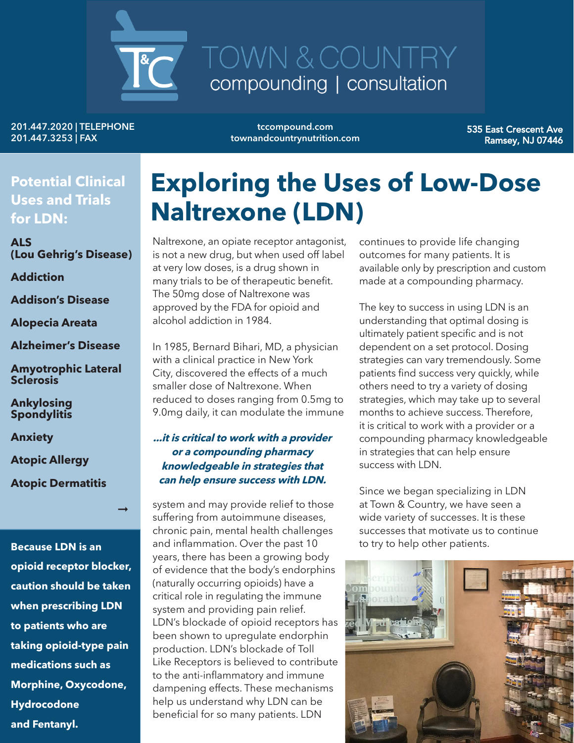

201.447.2020 | TELEPHONE 201.447.3253 | FAX

tccompound.com townandcountrynutrition.com

535 East Crescent Ave Ramsey, NJ 07446

**Potential Clinical Uses and Trials for LDN:**

**ALS (Lou Gehrig's Disease)**

**Addiction**

**Addison's Disease**

**Alopecia Areata**

**Alzheimer's Disease**

**Amyotrophic Lateral Sclerosis**

**Ankylosing Spondylitis**

**Anxiety**

**Atopic Allergy**

**Atopic Dermatitis**

 $\rightarrow$ 

**Because LDN is an opioid receptor blocker, caution should be taken when prescribing LDN to patients who are taking opioid-type pain medications such as Morphine, Oxycodone, Hydrocodone and Fentanyl.**

### **Exploring the Uses of Low-Dose Naltrexone (LDN)**

Naltrexone, an opiate receptor antagonist, is not a new drug, but when used off label at very low doses, is a drug shown in many trials to be of therapeutic benefit. The 50mg dose of Naltrexone was approved by the FDA for opioid and alcohol addiction in 1984.

In 1985, Bernard Bihari, MD, a physician with a clinical practice in New York City, discovered the effects of a much smaller dose of Naltrexone. When reduced to doses ranging from 0.5mg to 9.0mg daily, it can modulate the immune

#### **...it is critical to work with a provider or a compounding pharmacy knowledgeable in strategies that can help ensure success with LDN.**

system and may provide relief to those suffering from autoimmune diseases, chronic pain, mental health challenges and inflammation. Over the past 10 years, there has been a growing body of evidence that the body's endorphins (naturally occurring opioids) have a critical role in regulating the immune system and providing pain relief. LDN's blockade of opioid receptors has been shown to upregulate endorphin production. LDN's blockade of Toll Like Receptors is believed to contribute to the anti-inflammatory and immune dampening effects. These mechanisms help us understand why LDN can be beneficial for so many patients. LDN

continues to provide life changing outcomes for many patients. It is available only by prescription and custom made at a compounding pharmacy.

The key to success in using LDN is an understanding that optimal dosing is ultimately patient specific and is not dependent on a set protocol. Dosing strategies can vary tremendously. Some patients find success very quickly, while others need to try a variety of dosing strategies, which may take up to several months to achieve success. Therefore, it is critical to work with a provider or a compounding pharmacy knowledgeable in strategies that can help ensure success with LDN.

Since we began specializing in LDN at Town & Country, we have seen a wide variety of successes. It is these successes that motivate us to continue to try to help other patients.

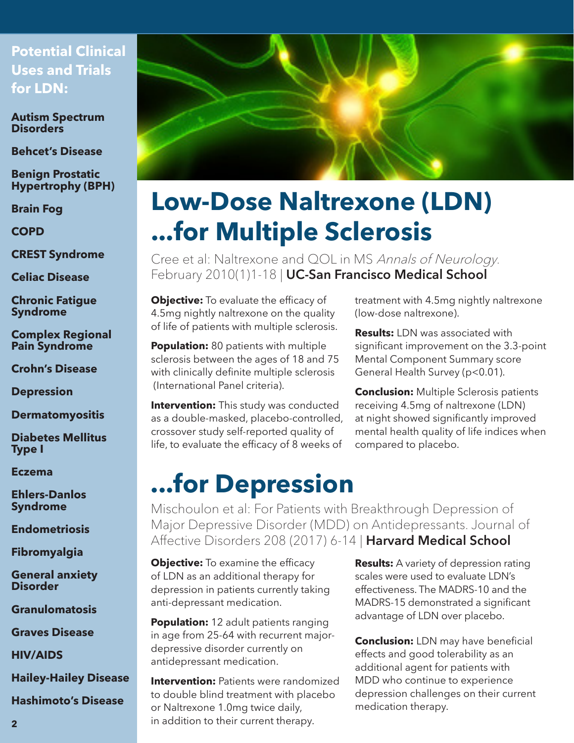### **Potential Clinical Uses and Trials for LDN:**

**Autism Spectrum Disorders**

**Behcet's Disease**

**Benign Prostatic Hypertrophy (BPH)**

**Brain Fog**

**COPD**

**CREST Syndrome**

**Celiac Disease**

**Chronic Fatigue Syndrome**

**Complex Regional Pain Syndrome**

**Crohn's Disease**

**Depression**

**Dermatomyositis**

**Diabetes Mellitus Type I**

**Eczema**

**Ehlers-Danlos Syndrome**

**Endometriosis**

**Fibromyalgia**

**General anxiety Disorder**

**Granulomatosis**

**Graves Disease**

**HIV/AIDS**

**Hailey-Hailey Disease**

**Hashimoto's Disease**



# **Low-Dose Naltrexone (LDN) ...for Multiple Sclerosis**

Cree et al: Naltrexone and QOL in MS Annals of Neurology. February 2010(1)1-18 | UC-San Francisco Medical School

**Objective:** To evaluate the efficacy of 4.5mg nightly naltrexone on the quality of life of patients with multiple sclerosis.

**Population:** 80 patients with multiple sclerosis between the ages of 18 and 75 with clinically definite multiple sclerosis (International Panel criteria).

**Intervention:** This study was conducted as a double-masked, placebo-controlled, crossover study self-reported quality of life, to evaluate the efficacy of 8 weeks of treatment with 4.5mg nightly naltrexone (low-dose naltrexone).

**Results:** LDN was associated with significant improvement on the 3.3-point Mental Component Summary score General Health Survey (p<0.01).

**Conclusion:** Multiple Sclerosis patients receiving 4.5mg of naltrexone (LDN) at night showed significantly improved mental health quality of life indices when compared to placebo.

## **...for Depression**

Mischoulon et al: For Patients with Breakthrough Depression of Major Depressive Disorder (MDD) on Antidepressants. Journal of Affective Disorders 208 (2017) 6-14 | Harvard Medical School

**Objective:** To examine the efficacy of LDN as an additional therapy for depression in patients currently taking anti-depressant medication.

**Population:** 12 adult patients ranging in age from 25-64 with recurrent majordepressive disorder currently on antidepressant medication.

**Intervention:** Patients were randomized to double blind treatment with placebo or Naltrexone 1.0mg twice daily, in addition to their current therapy.

**Results:** A variety of depression rating scales were used to evaluate LDN's effectiveness. The MADRS-10 and the MADRS-15 demonstrated a significant advantage of LDN over placebo.

**Conclusion:** LDN may have beneficial effects and good tolerability as an additional agent for patients with MDD who continue to experience depression challenges on their current medication therapy.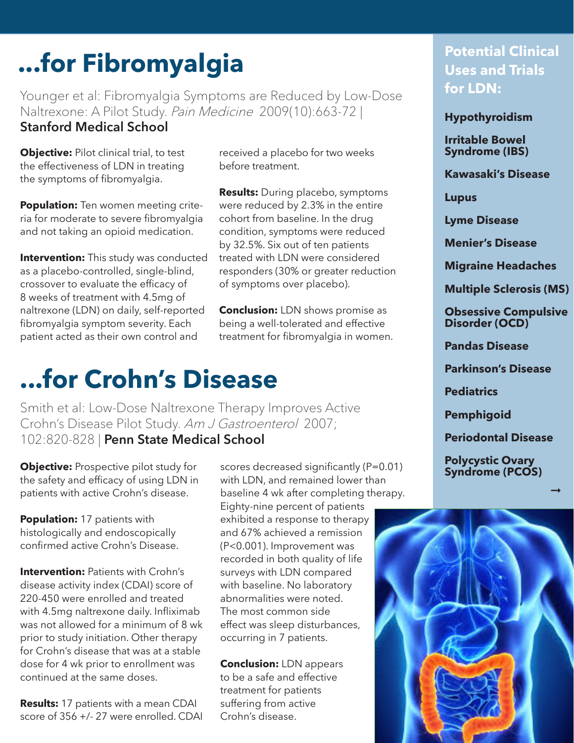# **...for Fibromyalgia**

Younger et al: Fibromyalgia Symptoms are Reduced by Low-Dose Naltrexone: A Pilot Study. Pain Medicine 2009(10):663-72 | Stanford Medical School

**Objective:** Pilot clinical trial, to test the effectiveness of LDN in treating the symptoms of fibromyalgia.

**Population:** Ten women meeting criteria for moderate to severe fibromyalgia and not taking an opioid medication.

**Intervention:** This study was conducted as a placebo-controlled, single-blind, crossover to evaluate the efficacy of 8 weeks of treatment with 4.5mg of naltrexone (LDN) on daily, self-reported fibromyalgia symptom severity. Each patient acted as their own control and

received a placebo for two weeks before treatment.

**Results:** During placebo, symptoms were reduced by 2.3% in the entire cohort from baseline. In the drug condition, symptoms were reduced by 32.5%. Six out of ten patients treated with LDN were considered responders (30% or greater reduction of symptoms over placebo).

**Conclusion:** LDN shows promise as being a well-tolerated and effective treatment for fibromyalgia in women.

## **...for Crohn's Disease**

Smith et al: Low-Dose Naltrexone Therapy Improves Active Crohn's Disease Pilot Study. Am J Gastroenterol 2007; 102:820-828 | Penn State Medical School

**Objective:** Prospective pilot study for the safety and efficacy of using LDN in patients with active Crohn's disease.

**Population:** 17 patients with histologically and endoscopically confirmed active Crohn's Disease.

**Intervention: Patients with Crohn's** disease activity index (CDAI) score of 220-450 were enrolled and treated with 4.5mg naltrexone daily. Infliximab was not allowed for a minimum of 8 wk prior to study initiation. Other therapy for Crohn's disease that was at a stable dose for 4 wk prior to enrollment was continued at the same doses.

**Results:** 17 patients with a mean CDAI score of 356 +/- 27 were enrolled. CDAI scores decreased significantly (P=0.01) with LDN, and remained lower than baseline 4 wk after completing therapy.

Eighty-nine percent of patients exhibited a response to therapy and 67% achieved a remission (P<0.001). Improvement was recorded in both quality of life surveys with LDN compared with baseline. No laboratory abnormalities were noted. The most common side effect was sleep disturbances, occurring in 7 patients.

**Conclusion:** LDN appears to be a safe and effective treatment for patients suffering from active Crohn's disease.

### **Potential Clinical Uses and Trials for LDN:**

**Hypothyroidism**

**Irritable Bowel Syndrome (IBS)**

**Kawasaki's Disease**

**Lupus**

**Lyme Disease**

**Menier's Disease**

**Migraine Headaches**

**Multiple Sclerosis (MS)**

**Obsessive Compulsive Disorder (OCD)**

**Pandas Disease**

**Parkinson's Disease**

**Pediatrics**

**Pemphigoid**

**Periodontal Disease** 

 $\rightarrow$ 

**Polycystic Ovary Syndrome (PCOS)**